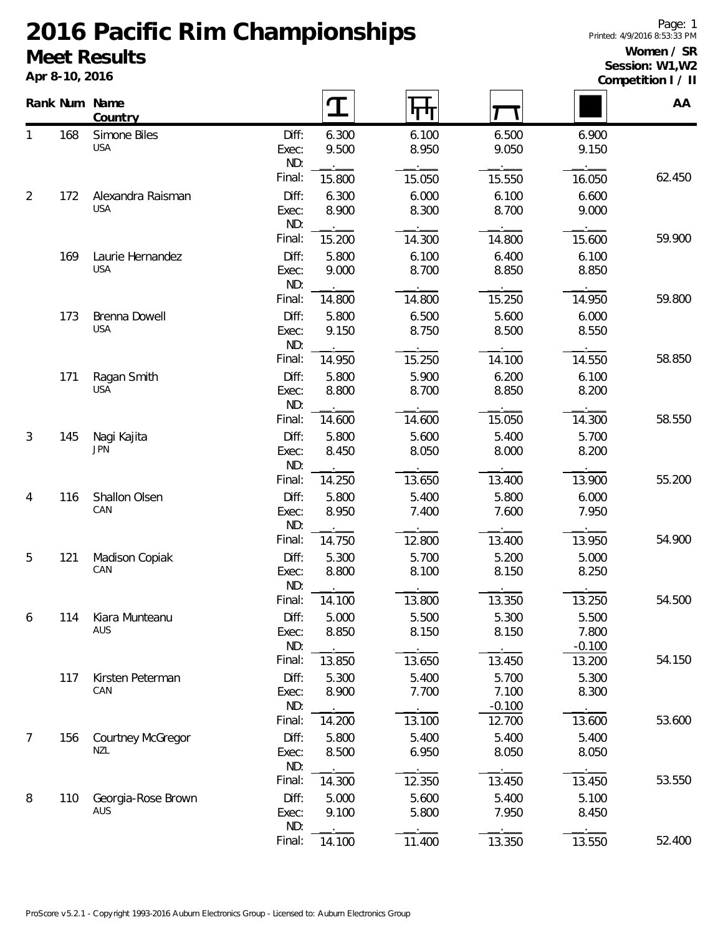**Apr 8-10, 2016**

#### **Women / SR Session: W1,W2**

**Competition I / II**

|                |     | Rank Num Name<br>Country        |                       |                |                |                            |                            | AA     |
|----------------|-----|---------------------------------|-----------------------|----------------|----------------|----------------------------|----------------------------|--------|
| 1              | 168 | Simone Biles<br><b>USA</b>      | Diff:<br>Exec:<br>ND: | 6.300<br>9.500 | 6.100<br>8.950 | 6.500<br>9.050             | 6.900<br>9.150             |        |
|                |     |                                 | Final:                | 15.800         | 15.050         | 15.550                     | 16.050                     | 62.450 |
| $\overline{2}$ | 172 | Alexandra Raisman<br><b>USA</b> | Diff:<br>Exec:<br>ND: | 6.300<br>8.900 | 6.000<br>8.300 | 6.100<br>8.700             | 6.600<br>9.000             |        |
|                |     |                                 | Final:                | 15.200         | 14.300         | 14.800                     | 15.600                     | 59.900 |
|                | 169 | Laurie Hernandez<br><b>USA</b>  | Diff:<br>Exec:<br>ND: | 5.800<br>9.000 | 6.100<br>8.700 | 6.400<br>8.850             | 6.100<br>8.850             |        |
|                |     |                                 | Final:                | 14.800         | 14.800         | 15.250                     | 14.950                     | 59.800 |
|                | 173 | Brenna Dowell<br><b>USA</b>     | Diff:<br>Exec:<br>ND: | 5.800<br>9.150 | 6.500<br>8.750 | 5.600<br>8.500             | 6.000<br>8.550             |        |
|                |     |                                 | Final:                | 14.950         | 15.250         | 14.100                     | 14.550                     | 58.850 |
|                | 171 | Ragan Smith<br><b>USA</b>       | Diff:<br>Exec:<br>ND: | 5.800<br>8.800 | 5.900<br>8.700 | 6.200<br>8.850             | 6.100<br>8.200             |        |
|                |     |                                 | Final:                | 14.600         | 14.600         | 15.050                     | 14.300                     | 58.550 |
| 3              | 145 | Nagi Kajita<br><b>JPN</b>       | Diff:<br>Exec:<br>ND: | 5.800<br>8.450 | 5.600<br>8.050 | 5.400<br>8.000             | 5.700<br>8.200             |        |
|                |     |                                 | Final:                | 14.250         | 13.650         | 13.400                     | 13.900                     | 55.200 |
| 4              | 116 | Shallon Olsen<br>CAN            | Diff:<br>Exec:<br>ND: | 5.800<br>8.950 | 5.400<br>7.400 | 5.800<br>7.600             | 6.000<br>7.950             |        |
|                |     |                                 | Final:                | 14.750         | 12.800         | 13.400                     | 13.950                     | 54.900 |
| 5              | 121 | Madison Copiak<br>CAN           | Diff:<br>Exec:<br>ND: | 5.300<br>8.800 | 5.700<br>8.100 | 5.200<br>8.150             | 5.000<br>8.250             |        |
|                |     |                                 | Final:                | 14.100         | 13.800         | 13.350                     | 13.250                     | 54.500 |
| 6              | 114 | Kiara Munteanu<br>AUS           | Diff:<br>Exec:<br>ND: | 5.000<br>8.850 | 5.500<br>8.150 | 5.300<br>8.150             | 5.500<br>7.800<br>$-0.100$ |        |
|                |     |                                 | Final:                | 13.850         | 13.650         | 13.450                     | 13.200                     | 54.150 |
|                | 117 | Kirsten Peterman<br>CAN         | Diff:<br>Exec:<br>ND: | 5.300<br>8.900 | 5.400<br>7.700 | 5.700<br>7.100<br>$-0.100$ | 5.300<br>8.300             |        |
|                |     |                                 | Final:                | 14.200         | 13.100         | 12.700                     | 13.600                     | 53.600 |
| $\overline{7}$ | 156 | Courtney McGregor<br><b>NZL</b> | Diff:<br>Exec:<br>ND: | 5.800<br>8.500 | 5.400<br>6.950 | 5.400<br>8.050             | 5.400<br>8.050             |        |
|                |     |                                 | Final:                | 14.300         | 12.350         | 13.450                     | 13.450                     | 53.550 |
| 8              | 110 | Georgia-Rose Brown<br>AUS       | Diff:<br>Exec:<br>ND: | 5.000<br>9.100 | 5.600<br>5.800 | 5.400<br>7.950             | 5.100<br>8.450             |        |
|                |     |                                 | Final:                | 14.100         | 11.400         | 13.350                     | 13.550                     | 52.400 |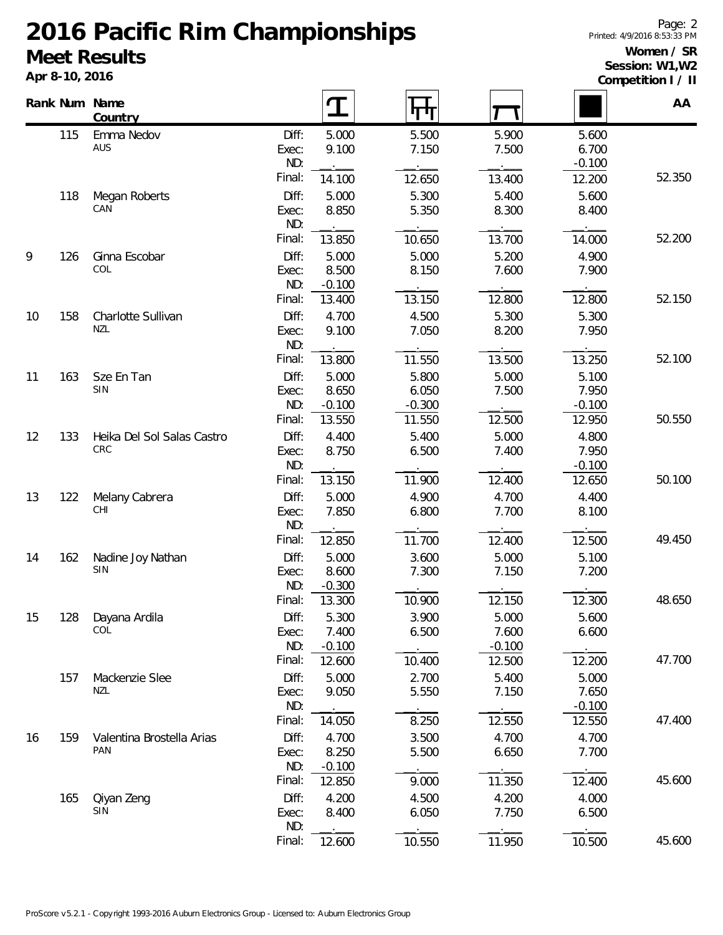**Apr 8-10, 2016**

#### **Women / SR Session: W1,W2**

**Competition I / II**

|    |     | Rank Num Name<br>Country         |                |                | पाग            |                |                | AA     |
|----|-----|----------------------------------|----------------|----------------|----------------|----------------|----------------|--------|
|    | 115 | Emma Nedov<br>AUS                | Diff:<br>Exec: | 5.000<br>9.100 | 5.500<br>7.150 | 5.900<br>7.500 | 5.600<br>6.700 |        |
|    |     |                                  | ND:            |                |                |                | $-0.100$       |        |
|    |     |                                  | Final:         | 14.100         | 12.650         | 13.400         | 12.200         | 52.350 |
|    | 118 | Megan Roberts                    | Diff:          | 5.000          | 5.300          | 5.400          | 5.600          |        |
|    |     | CAN                              | Exec:          | 8.850          | 5.350          | 8.300          | 8.400          |        |
|    |     |                                  | ND:            |                |                |                |                |        |
|    |     |                                  | Final:         | 13.850         | 10.650         | 13.700         | 14.000         | 52.200 |
| 9  | 126 | Ginna Escobar                    | Diff:          | 5.000          | 5.000          | 5.200          | 4.900          |        |
|    |     | COL                              | Exec:          | 8.500          | 8.150          | 7.600          | 7.900          |        |
|    |     |                                  | ND:<br>Final:  | $-0.100$       | 13.150         | 12.800         |                | 52.150 |
|    |     |                                  |                | 13.400         |                |                | 12.800         |        |
| 10 | 158 | Charlotte Sullivan<br><b>NZL</b> | Diff:<br>Exec: | 4.700<br>9.100 | 4.500<br>7.050 | 5.300<br>8.200 | 5.300<br>7.950 |        |
|    |     |                                  | ND:            |                |                |                |                |        |
|    |     |                                  | Final:         | 13.800         | 11.550         | 13.500         | 13.250         | 52.100 |
| 11 | 163 | Sze En Tan                       | Diff:          | 5.000          | 5.800          | 5.000          | 5.100          |        |
|    |     | SIN                              | Exec:          | 8.650          | 6.050          | 7.500          | 7.950          |        |
|    |     |                                  | ND:            | $-0.100$       | $-0.300$       |                | $-0.100$       |        |
|    |     |                                  | Final:         | 13.550         | 11.550         | 12.500         | 12.950         | 50.550 |
| 12 | 133 | Heika Del Sol Salas Castro       | Diff:          | 4.400          | 5.400          | 5.000          | 4.800          |        |
|    |     | CRC                              | Exec:          | 8.750          | 6.500          | 7.400          | 7.950          |        |
|    |     |                                  | ND:            |                |                |                | $-0.100$       |        |
|    |     |                                  | Final:         | 13.150         | 11.900         | 12.400         | 12.650         | 50.100 |
| 13 | 122 | Melany Cabrera                   | Diff:          | 5.000          | 4.900          | 4.700          | 4.400          |        |
|    |     | CHI                              | Exec:          | 7.850          | 6.800          | 7.700          | 8.100          |        |
|    |     |                                  | ND:<br>Final:  | 12.850         | 11.700         | 12.400         | 12.500         | 49.450 |
| 14 | 162 |                                  | Diff:          | 5.000          | 3.600          | 5.000          | 5.100          |        |
|    |     | Nadine Joy Nathan<br>SIN         | Exec:          | 8.600          | 7.300          | 7.150          | 7.200          |        |
|    |     |                                  | ND:            | $-0.300$       |                |                |                |        |
|    |     |                                  | Final:         | 13.300         | 10.900         | 12.150         | 12.300         | 48.650 |
| 15 | 128 | Dayana Ardila                    | Diff:          | 5.300          | 3.900          | 5.000          | 5.600          |        |
|    |     | COL                              | Exec:          | 7.400          | 6.500          | 7.600          | 6.600          |        |
|    |     |                                  | ND:            | $-0.100$       |                | $-0.100$       |                |        |
|    |     |                                  | Final:         | 12.600         | 10.400         | 12.500         | 12.200         | 47.700 |
|    | 157 | Mackenzie Slee                   | Diff:          | 5.000          | 2.700          | 5.400          | 5.000          |        |
|    |     | <b>NZL</b>                       | Exec:          | 9.050          | 5.550          | 7.150          | 7.650          |        |
|    |     |                                  | ND:<br>Final:  |                |                |                | $-0.100$       | 47.400 |
|    |     |                                  |                | 14.050         | 8.250          | 12.550         | 12.550         |        |
| 16 | 159 | Valentina Brostella Arias<br>PAN | Diff:<br>Exec: | 4.700<br>8.250 | 3.500<br>5.500 | 4.700<br>6.650 | 4.700<br>7.700 |        |
|    |     |                                  | ND:            | $-0.100$       |                |                |                |        |
|    |     |                                  | Final:         | 12.850         | 9.000          | 11.350         | 12.400         | 45.600 |
|    | 165 | Qiyan Zeng                       | Diff:          | 4.200          | 4.500          | 4.200          | 4.000          |        |
|    |     | SIN                              | Exec:          | 8.400          | 6.050          | 7.750          | 6.500          |        |
|    |     |                                  | ND:            |                |                |                |                |        |
|    |     |                                  | Final:         | 12.600         | 10.550         | 11.950         | 10.500         | 45.600 |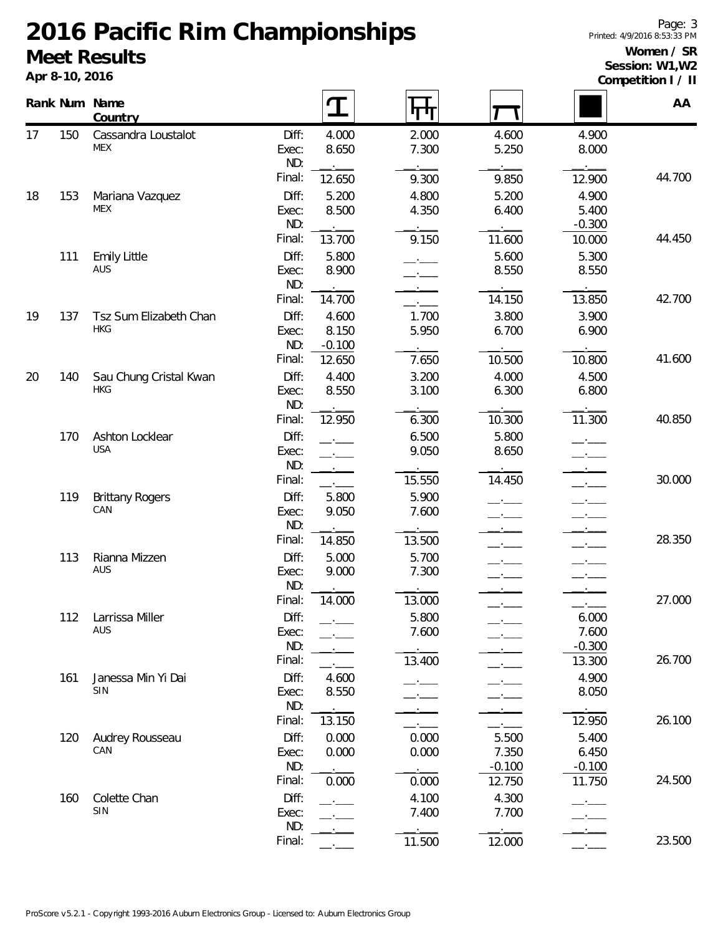**Apr 8-10, 2016**

#### **Women / SR Session: W1,W2**

**Competition I / II**

|    |     | Rank Num Name<br>Country             |                                 | $\mathbf T$             | पाप                     |                                      |                                      | 00111011101117<br>AA |
|----|-----|--------------------------------------|---------------------------------|-------------------------|-------------------------|--------------------------------------|--------------------------------------|----------------------|
| 17 | 150 | Cassandra Loustalot<br><b>MEX</b>    | Diff:<br>Exec:<br>ND:           | 4.000<br>8.650          | 2.000<br>7.300          | 4.600<br>5.250                       | 4.900<br>8.000                       |                      |
|    |     |                                      | Final:                          | 12.650                  | 9.300                   | 9.850                                | 12.900                               | 44.700               |
| 18 | 153 | Mariana Vazquez<br>MEX               | Diff:<br>Exec:<br>ND:           | 5.200<br>8.500          | 4.800<br>4.350          | 5.200<br>6.400                       | 4.900<br>5.400<br>$-0.300$           |                      |
|    | 111 | <b>Emily Little</b>                  | Final:<br>Diff:                 | 13.700<br>5.800         | 9.150                   | 11.600<br>5.600                      | 10.000<br>5.300                      | 44.450               |
|    |     | AUS                                  | Exec:<br>ND:                    | 8.900<br>$\mathbf{r}$   |                         | 8.550                                | 8.550                                |                      |
| 19 | 137 | Tsz Sum Elizabeth Chan               | Final:<br>Diff:                 | 14.700<br>4.600         | 1.700                   | 14.150<br>3.800                      | 13.850<br>3.900                      | 42.700               |
|    |     | <b>HKG</b>                           | Exec:<br>ND:                    | 8.150<br>$-0.100$       | 5.950                   | 6.700                                | 6.900                                |                      |
|    |     |                                      | Final:                          | 12.650                  | 7.650                   | 10.500                               | 10.800                               | 41.600               |
| 20 | 140 | Sau Chung Cristal Kwan<br><b>HKG</b> | Diff:<br>Exec:<br>ND:           | 4.400<br>8.550          | 3.200<br>3.100          | 4.000<br>6.300                       | 4.500<br>6.800                       |                      |
|    |     |                                      | Final:                          | 12.950                  | 6.300                   | 10.300                               | 11.300                               | 40.850               |
|    | 170 | Ashton Locklear<br><b>USA</b>        | Diff:<br>Exec:<br>ND:           | <b>Contract</b>         | 6.500<br>9.050          | 5.800<br>8.650                       | $ -$                                 |                      |
|    |     |                                      | Final:                          |                         | 15.550                  | 14.450                               | $ -$                                 | 30.000               |
|    | 119 | <b>Brittany Rogers</b><br>CAN        | Diff:<br>Exec:<br>ND:           | 5.800<br>9.050          | 5.900<br>7.600          |                                      |                                      |                      |
|    |     |                                      | Final:                          | 14.850                  | 13.500                  |                                      |                                      | 28.350               |
|    | 113 | Rianna Mizzen<br>AUS                 | Diff:<br>Exec:<br>ND:           | 5.000<br>9.000          | 5.700<br>7.300          |                                      |                                      |                      |
|    | 112 | Larrissa Miller                      | Final:<br>Diff:                 | 14.000                  | 13.000<br>5.800         |                                      | 6.000                                | 27.000               |
|    |     | AUS                                  | Exec:<br>ND:                    |                         | 7.600                   |                                      | 7.600<br>$-0.300$                    |                      |
|    | 161 | Janessa Min Yi Dai<br>SIN            | Final:<br>Diff:<br>Exec:        | 4.600<br>8.550          | 13.400                  |                                      | 13.300<br>4.900<br>8.050             | 26.700               |
|    |     |                                      | ND:<br>Final:                   | 13.150                  |                         |                                      | 12.950                               | 26.100               |
|    | 120 | Audrey Rousseau<br>CAN               | Diff:<br>Exec:<br>ND:<br>Final: | 0.000<br>0.000<br>0.000 | 0.000<br>0.000<br>0.000 | 5.500<br>7.350<br>$-0.100$<br>12.750 | 5.400<br>6.450<br>$-0.100$<br>11.750 | 24.500               |
|    | 160 | Colette Chan<br>SIN                  | Diff:<br>Exec:<br>ND:           |                         | 4.100<br>7.400          | 4.300<br>7.700                       |                                      |                      |
|    |     |                                      | Final:                          |                         | 11.500                  | 12.000                               |                                      | 23.500               |